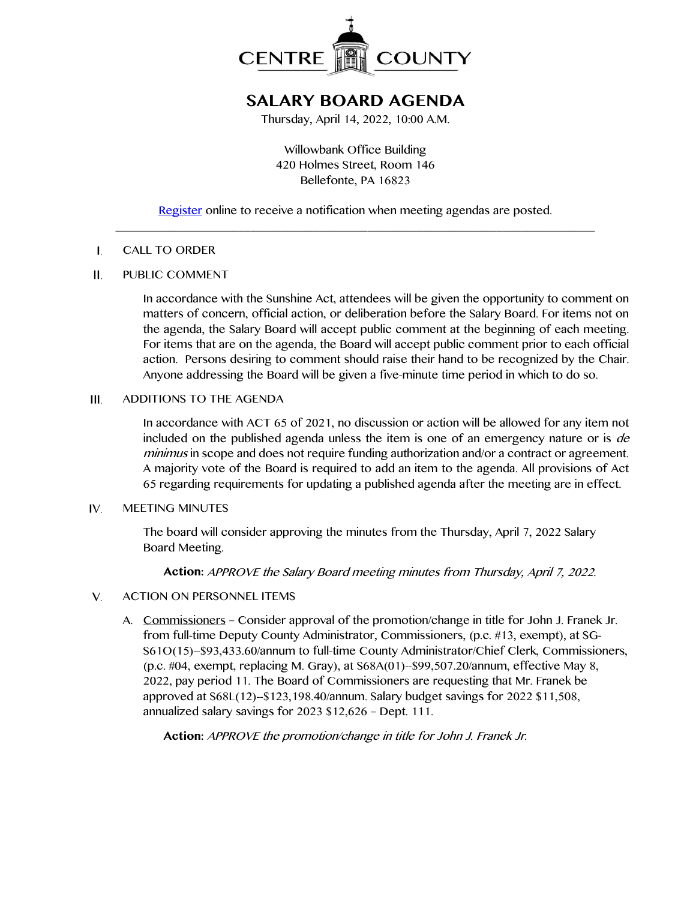

# **SALARY BOARD AGENDA**

Thursday, April 14, 2022, 10:00 A.M.

Willowbank Office Building 420 Holmes Street, Room 146 Bellefonte, PA 16823

[Register](http://www.centrecountypa.gov/AgendaCenter) online to receive a notification when meeting agendas are posted. \_\_\_\_\_\_\_\_\_\_\_\_\_\_\_\_\_\_\_\_\_\_\_\_\_\_\_\_\_\_\_\_\_\_\_\_\_\_\_\_\_\_\_\_\_\_\_\_\_\_\_\_\_\_\_\_\_\_\_\_\_\_\_\_\_\_\_\_\_\_\_\_\_\_\_\_\_\_

### $\mathbf{I}$ . CALL TO ORDER

#### $II.$ PUBLIC COMMENT

In accordance with the Sunshine Act, attendees will be given the opportunity to comment on matters of concern, official action, or deliberation before the Salary Board. For items not on the agenda, the Salary Board will accept public comment at the beginning of each meeting. For items that are on the agenda, the Board will accept public comment prior to each official action. Persons desiring to comment should raise their hand to be recognized by the Chair. Anyone addressing the Board will be given a five-minute time period in which to do so.

### ADDITIONS TO THE AGENDA  $III.$

In accordance with ACT 65 of 2021, no discussion or action will be allowed for any item not included on the published agenda unless the item is one of an emergency nature or is  $de$ minimus in scope and does not require funding authorization and/or a contract or agreement. A majority vote of the Board is required to add an item to the agenda. All provisions of Act 65 regarding requirements for updating a published agenda after the meeting are in effect.

#### IV. MEETING MINUTES

The board will consider approving the minutes from the Thursday, April 7, 2022 Salary Board Meeting.

**Action:** APPROVE the Salary Board meeting minutes from Thursday, April 7, 2022.

- $V_{1}$ ACTION ON PERSONNEL ITEMS
	- A. Commissioners Consider approval of the promotion/change in title for John J. Franek Jr. from full-time Deputy County Administrator, Commissioners, (p.c. #13, exempt), at SG-S61O(15)--\$93,433.60/annum to full-time County Administrator/Chief Clerk, Commissioners, (p.c. #04, exempt, replacing M. Gray), at S68A(01)--\$99,507.20/annum, effective May 8, 2022, pay period 11. The Board of Commissioners are requesting that Mr. Franek be approved at S68L(12)--\$123,198.40/annum. Salary budget savings for 2022 \$11,508, annualized salary savings for 2023 \$12,626 – Dept. 111.

**Action:** APPROVE the promotion/change in title for John J. Franek Jr.